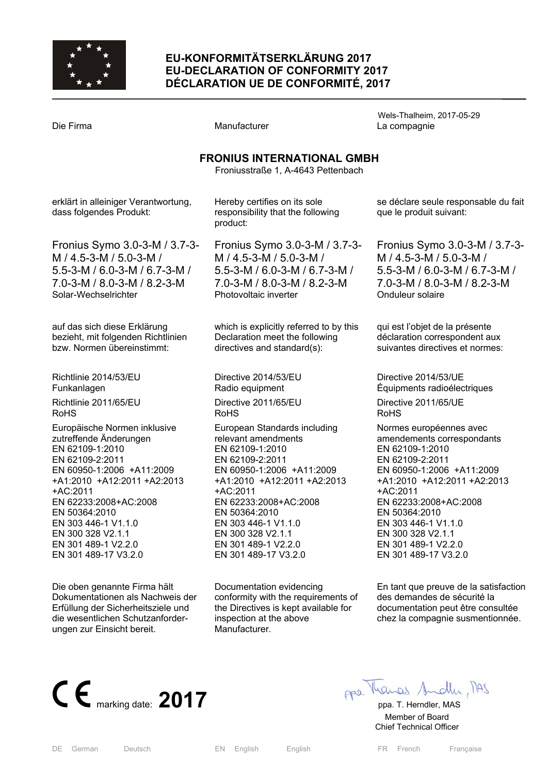

# **EU-KONFORMITÄTSERKLÄRUNG 2017 EU-DECLARATION OF CONFORMITY 2017 DÉCLARATION UE DE CONFORMITÉ, 2017**

Wels-Thalheim, 2017-05-29 Die Firma and Compagnie Manufacturer Company La compagnie **FRONIUS INTERNATIONAL GMBH**  Froniusstraße 1, A-4643 Pettenbach erklärt in alleiniger Verantwortung, dass folgendes Produkt: Fronius Symo 3.0-3-M / 3.7-3- M / 4.5-3-M / 5.0-3-M / 5.5-3-M / 6.0-3-M / 6.7-3-M / 7.0-3-M / 8.0-3-M / 8.2-3-M Solar-Wechselrichter auf das sich diese Erklärung bezieht, mit folgenden Richtlinien bzw. Normen übereinstimmt: Richtlinie 2014/53/EU Funkanlagen Richtlinie 2011/65/EU RoHS Europäische Normen inklusive zutreffende Änderungen EN 62109-1:2010 EN 62109-2:2011 EN 60950-1:2006 +A11:2009 +A1:2010 +A12:2011 +A2:2013 +AC:2011 EN 62233:2008+AC:2008 EN 50364:2010 EN 303 446-1 V1.1.0 EN 300 328 V2.1.1 EN 301 489-1 V2.2.0 EN 301 489-17 V3.2.0 Die oben genannte Firma hält Dokumentationen als Nachweis der Erfüllung der Sicherheitsziele und Hereby certifies on its sole responsibility that the following product: Fronius Symo 3.0-3-M / 3.7-3- M / 4.5-3-M / 5.0-3-M / 5.5-3-M / 6.0-3-M / 6.7-3-M / 7.0-3-M / 8.0-3-M / 8.2-3-M Photovoltaic inverter which is explicitly referred to by this Declaration meet the following directives and standard(s): Directive 2014/53/EU Radio equipment Directive 2011/65/EU RoHS European Standards including relevant amendments EN 62109-1:2010 EN 62109-2:2011 EN 60950-1:2006 +A11:2009 +A1:2010 +A12:2011 +A2:2013 +AC:2011 EN 62233:2008+AC:2008 EN 50364:2010 EN 303 446-1 V1.1.0 EN 300 328 V2.1.1 EN 301 489-1 V2.2.0 EN 301 489-17 V3.2.0 Documentation evidencing conformity with the requirements of the Directives is kept available for se déclare seule responsable du fait que le produit suivant: Fronius Symo 3.0-3-M / 3.7-3- M / 4.5-3-M / 5.0-3-M / 5.5-3-M / 6.0-3-M / 6.7-3-M / 7.0-3-M / 8.0-3-M / 8.2-3-M Onduleur solaire qui est l'objet de la présente déclaration correspondent aux suivantes directives et normes: Directive 2014/53/UE Équipments radioélectriques Directive 2011/65/UE RoHS Normes européennes avec amendements correspondants EN 62109-1:2010 EN 62109-2:2011 EN 60950-1:2006 +A11:2009 +A1:2010 +A12:2011 +A2:2013 +AC:2011 EN 62233:2008+AC:2008 EN 50364:2010 EN 303 446-1 V1.1.0 EN 300 328 V2.1.1 EN 301 489-1 V2.2.0 EN 301 489-17 V3.2.0 En tant que preuve de la satisfaction des demandes de sécurité la documentation peut être consultée



die wesentlichen Schutzanforder-

ungen zur Einsicht bereit.

 Member of Board Chief Technical Officer

inspection at the above

Manufacturer.

chez la compagnie susmentionnée.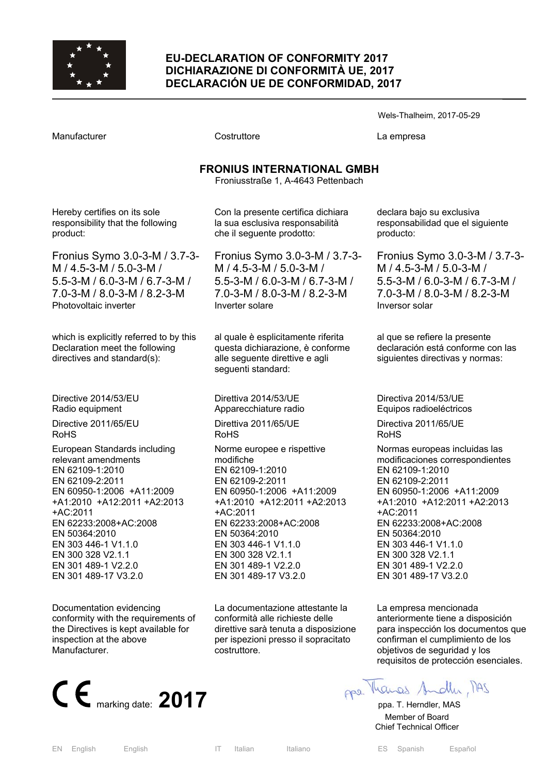

### **EU-DECLARATION OF CONFORMITY 2017 DICHIARAZIONE DI CONFORMITÀ UE, 2017 DECLARACIÓN UE DE CONFORMIDAD, 2017**

Wels-Thalheim, 2017-05-29

Manufacturer Costruttore La empresa

# **FRONIUS INTERNATIONAL GMBH**

Froniusstraße 1, A-4643 Pettenbach

Hereby certifies on its sole responsibility that the following product:

Fronius Symo 3.0-3-M / 3.7-3- M / 4.5-3-M / 5.0-3-M / 5.5-3-M / 6.0-3-M / 6.7-3-M / 7.0-3-M / 8.0-3-M / 8.2-3-M Photovoltaic inverter

which is explicitly referred to by this Declaration meet the following directives and standard(s):

Directive 2014/53/EU Radio equipment

Directive 2011/65/EU RoHS

European Standards including relevant amendments EN 62109-1:2010 EN 62109-2:2011 EN 60950-1:2006 +A11:2009 +A1:2010 +A12:2011 +A2:2013 +AC:2011 EN 62233:2008+AC:2008 EN 50364:2010 EN 303 446-1 V1.1.0 EN 300 328 V2.1.1 EN 301 489-1 V2.2.0 EN 301 489-17 V3.2.0

Documentation evidencing conformity with the requirements of the Directives is kept available for inspection at the above Manufacturer.



Con la presente certifica dichiara la sua esclusiva responsabilità che il seguente prodotto:

Fronius Symo 3.0-3-M / 3.7-3- M / 4.5-3-M / 5.0-3-M / 5.5-3-M / 6.0-3-M / 6.7-3-M / 7.0-3-M / 8.0-3-M / 8.2-3-M Inverter solare

al quale è esplicitamente riferita questa dichiarazione, è conforme alle seguente direttive e agli seguenti standard:

Direttiva 2014/53/UE Apparecchiature radio

Direttiva 2011/65/UE RoHS

Norme europee e rispettive modifiche EN 62109-1:2010 EN 62109-2:2011 EN 60950-1:2006 +A11:2009 +A1:2010 +A12:2011 +A2:2013 +AC:2011 EN 62233:2008+AC:2008 EN 50364:2010 EN 303 446-1 V1.1.0 EN 300 328 V2.1.1 EN 301 489-1 V2.2.0 EN 301 489-17 V3.2.0

La documentazione attestante la conformità alle richieste delle direttive sarà tenuta a disposizione per ispezioni presso il sopracitato costruttore.

declara bajo su exclusiva responsabilidad que el siguiente producto:

Fronius Symo 3.0-3-M / 3.7-3- M / 4.5-3-M / 5.0-3-M / 5.5-3-M / 6.0-3-M / 6.7-3-M / 7.0-3-M / 8.0-3-M / 8.2-3-M Inversor solar

al que se refiere la presente declaración está conforme con las siguientes directivas y normas:

Directiva 2014/53/UE Equipos radioeléctricos

Directiva 2011/65/UE RoHS

Normas europeas incluidas las modificaciones correspondientes EN 62109-1:2010 EN 62109-2:2011 EN 60950-1:2006 +A11:2009 +A1:2010 +A12:2011 +A2:2013 +AC:2011 EN 62233:2008+AC:2008 EN 50364:2010 EN 303 446-1 V1.1.0 EN 300 328 V2.1.1 EN 301 489-1 V2.2.0 EN 301 489-17 V3.2.0

La empresa mencionada anteriormente tiene a disposición para inspección los documentos que confirman el cumplimiento de los objetivos de seguridad y los requisitos de protección esenciales.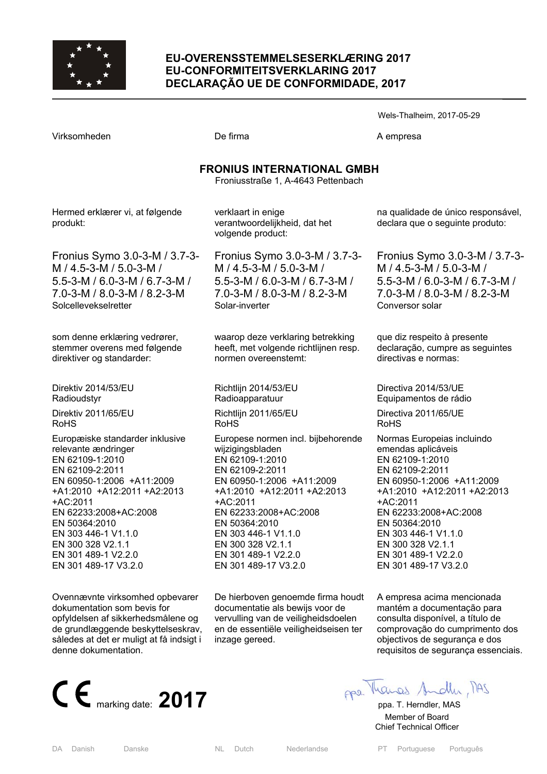

## **EU-OVERENSSTEMMELSESERKLÆRING 2017 EU-CONFORMITEITSVERKLARING 2017 DECLARAÇÃO UE DE CONFORMIDADE, 2017**

Wels-Thalheim, 2017-05-29

Virksomheden **De firma** De firma A empresa

# **FRONIUS INTERNATIONAL GMBH**

Froniusstraße 1, A-4643 Pettenbach

Hermed erklærer vi, at følgende produkt:

Fronius Symo 3.0-3-M / 3.7-3- M / 4.5-3-M / 5.0-3-M / 5.5-3-M / 6.0-3-M / 6.7-3-M / 7.0-3-M / 8.0-3-M / 8.2-3-M Solcellevekselretter

som denne erklæring vedrører, stemmer overens med følgende direktiver og standarder:

Direktiv 2014/53/EU Radioudstyr Direktiv 2011/65/EU RoHS

Europæiske standarder inklusive relevante ændringer EN 62109-1:2010 EN 62109-2:2011 EN 60950-1:2006 +A11:2009 +A1:2010 +A12:2011 +A2:2013 +AC:2011 EN 62233:2008+AC:2008 EN 50364:2010 EN 303 446-1 V1.1.0 EN 300 328 V2.1.1 EN 301 489-1 V2.2.0 EN 301 489-17 V3.2.0

Ovennævnte virksomhed opbevarer dokumentation som bevis for opfyldelsen af sikkerhedsmålene og de grundlæggende beskyttelseskrav, således at det er muligt at få indsigt i denne dokumentation.



verklaart in enige verantwoordelijkheid, dat het volgende product:

Fronius Symo 3.0-3-M / 3.7-3- M / 4.5-3-M / 5.0-3-M / 5.5-3-M / 6.0-3-M / 6.7-3-M / 7.0-3-M / 8.0-3-M / 8.2-3-M Solar-inverter

waarop deze verklaring betrekking heeft, met volgende richtlijnen resp. normen overeenstemt:

Richtlijn 2014/53/EU Radioapparatuur Richtlijn 2011/65/EU RoHS

Europese normen incl. bijbehorende wiizigingsbladen EN 62109-1:2010 EN 62109-2:2011 EN 60950-1:2006 +A11:2009 +A1:2010 +A12:2011 +A2:2013 +AC:2011 EN 62233:2008+AC:2008 EN 50364:2010 EN 303 446-1 V1.1.0 EN 300 328 V2.1.1 EN 301 489-1 V2.2.0 EN 301 489-17 V3.2.0

De hierboven genoemde firma houdt documentatie als bewijs voor de vervulling van de veiligheidsdoelen en de essentiële veiligheidseisen ter inzage gereed.

na qualidade de único responsável, declara que o seguinte produto:

Fronius Symo 3.0-3-M / 3.7-3- M / 4.5-3-M / 5.0-3-M / 5.5-3-M / 6.0-3-M / 6.7-3-M / 7.0-3-M / 8.0-3-M / 8.2-3-M Conversor solar

que diz respeito à presente declaração, cumpre as seguintes directivas e normas:

Directiva 2014/53/UE Equipamentos de rádio Directiva 2011/65/UE RoHS

Normas Europeias incluindo emendas aplicáveis EN 62109-1:2010 EN 62109-2:2011 EN 60950-1:2006 +A11:2009 +A1:2010 +A12:2011 +A2:2013 +AC:2011 EN 62233:2008+AC:2008 EN 50364:2010 EN 303 446-1 V1.1.0 EN 300 328 V2.1.1 EN 301 489-1 V2.2.0 EN 301 489-17 V3.2.0

A empresa acima mencionada mantém a documentação para consulta disponível, a título de comprovação do cumprimento dos objectivos de segurança e dos requisitos de segurança essenciais.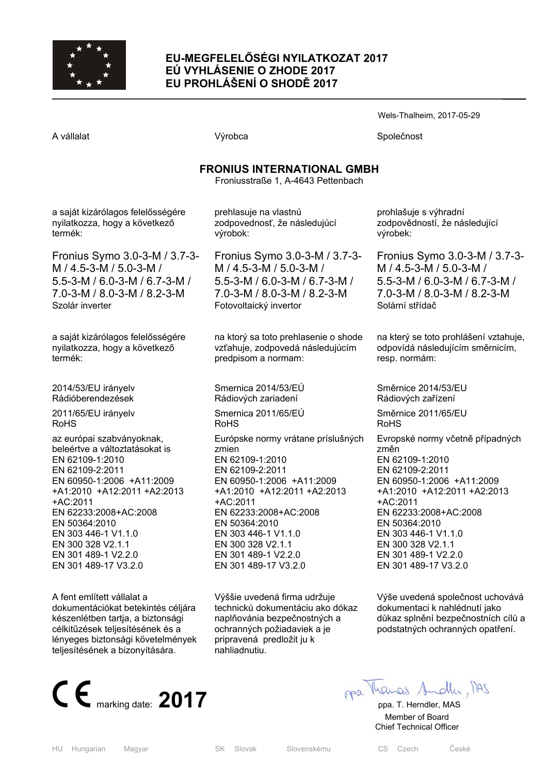

## **EU-MEGFELELŐSÉGI NYILATKOZAT 2017 EÚ VYHLÁSENIE O ZHODE 2017 EU PROHLÁŠENÍ O SHODĚ 2017**

Wels-Thalheim, 2017-05-29

A vállalat Společnost Nýrobca Společnost Společnost

# **FRONIUS INTERNATIONAL GMBH**

Froniusstraße 1, A-4643 Pettenbach

a saját kizárólagos felelősségére nyilatkozza, hogy a következő termék:

Fronius Symo 3.0-3-M / 3.7-3- M / 4.5-3-M / 5.0-3-M / 5.5-3-M / 6.0-3-M / 6.7-3-M / 7.0-3-M / 8.0-3-M / 8.2-3-M Szolár inverter

a saját kizárólagos felelősségére nyilatkozza, hogy a következő termék:

2014/53/EU irányelv Rádióberendezések

2011/65/EU irányelv RoHS

az európai szabványoknak, beleértve a változtatásokat is EN 62109-1:2010 EN 62109-2:2011 EN 60950-1:2006 +A11:2009 +A1:2010 +A12:2011 +A2:2013 +AC:2011 EN 62233:2008+AC:2008 EN 50364:2010 EN 303 446-1 V1.1.0 EN 300 328 V2.1.1 EN 301 489-1 V2.2.0 EN 301 489-17 V3.2.0

A fent említett vállalat a dokumentációkat betekintés céljára készenlétben tartja, a biztonsági célkitűzések teljesítésének és a lényeges biztonsági követelmények teljesítésének a bizonyítására.



prehlasuje na vlastnú zodpovednosť, že následujúcí výrobok:

Fronius Symo 3.0-3-M / 3.7-3- M / 4.5-3-M / 5.0-3-M / 5.5-3-M / 6.0-3-M / 6.7-3-M / 7.0-3-M / 8.0-3-M / 8.2-3-M Fotovoltaický invertor

na ktorý sa toto prehlasenie o shode vzťahuje, zodpovedá následujúcím predpisom a normam:

Smernica 2014/53/EÚ Rádiových zariadení Smernica 2011/65/EÚ RoHS Európske normy vrátane príslušných zmien EN 62109-1:2010 EN 62109-2:2011 EN 60950-1:2006 +A11:2009 +A1:2010 +A12:2011 +A2:2013 +AC:2011 EN 62233:2008+AC:2008 EN 50364:2010 EN 303 446-1 V1.1.0 EN 300 328 V2.1.1 EN 301 489-1 V2.2.0 EN 301 489-17 V3.2.0

Výššie uvedená firma udržuje technickú dokumentáciu ako dókaz naplňovánia bezpečnostných a ochranných požiadaviek a je pripravená predložit ju k nahliadnutiu.

prohlašuje s výhradní zodpovědností, že následující výrobek:

Fronius Symo 3.0-3-M / 3.7-3- M / 4.5-3-M / 5.0-3-M / 5.5-3-M / 6.0-3-M / 6.7-3-M / 7.0-3-M / 8.0-3-M / 8.2-3-M Solární střídač

na který se toto prohlášení vztahuje, odpovídá následujícím směrnicím, resp. normám:

Směrnice 2014/53/EU Rádiových zařízení Směrnice 2011/65/EU RoHS Evropské normy včetně případných změn

EN 62109-1:2010 EN 62109-2:2011 EN 60950-1:2006 +A11:2009 +A1:2010 +A12:2011 +A2:2013 +AC:2011 EN 62233:2008+AC:2008 EN 50364:2010 EN 303 446-1 V1.1.0 EN 300 328 V2.1.1 EN 301 489-1 V2.2.0 EN 301 489-17 V3.2.0

Výše uvedená společnost uchovává dokumentaci k nahlédnutí jako důkaz splnění bezpečnostních cílů a podstatných ochranných opatření.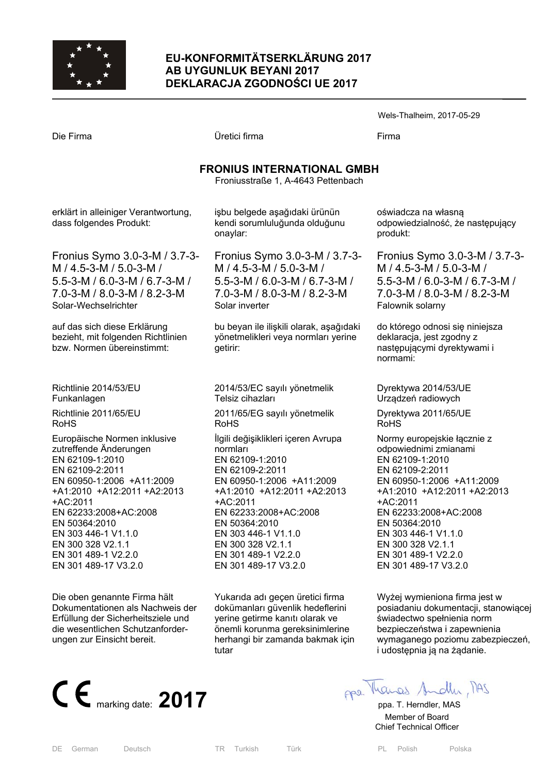

## **EU-KONFORMITÄTSERKLÄRUNG 2017 AB UYGUNLUK BEYANI 2017 DEKLARACJA ZGODNOŚCI UE 2017**

Wels-Thalheim, 2017-05-29

|                                                                                                                                                                                                                                                                                                           |                                                                                                                                                                                                                                                                                                    | ־כוסיע                                                                                                                                                                                           |  |
|-----------------------------------------------------------------------------------------------------------------------------------------------------------------------------------------------------------------------------------------------------------------------------------------------------------|----------------------------------------------------------------------------------------------------------------------------------------------------------------------------------------------------------------------------------------------------------------------------------------------------|--------------------------------------------------------------------------------------------------------------------------------------------------------------------------------------------------|--|
| Die Firma                                                                                                                                                                                                                                                                                                 | Üretici firma                                                                                                                                                                                                                                                                                      | Firma                                                                                                                                                                                            |  |
|                                                                                                                                                                                                                                                                                                           | <b>FRONIUS INTERNATIONAL GMBH</b><br>Froniusstraße 1, A-4643 Pettenbach                                                                                                                                                                                                                            |                                                                                                                                                                                                  |  |
| erklärt in alleiniger Verantwortung,<br>dass folgendes Produkt:                                                                                                                                                                                                                                           | işbu belgede aşağıdaki ürünün<br>kendi sorumluluğunda olduğunu<br>onaylar:                                                                                                                                                                                                                         | oświa<br>odpov<br>produ                                                                                                                                                                          |  |
| Fronius Symo 3.0-3-M / 3.7-3-<br>M / 4.5-3-M / 5.0-3-M /<br>5.5-3-M / 6.0-3-M / 6.7-3-M /<br>7.0-3-M / 8.0-3-M / 8.2-3-M<br>Solar-Wechselrichter                                                                                                                                                          | Fronius Symo 3.0-3-M / 3.7-3-<br>M / 4.5-3-M / 5.0-3-M /<br>5.5-3-M / 6.0-3-M / 6.7-3-M /<br>7.0-3-M / 8.0-3-M / 8.2-3-M<br>Solar inverter                                                                                                                                                         | Froni<br>M/4<br>$5.5 - 3$<br>$7.0 - 3$<br>Falow                                                                                                                                                  |  |
| auf das sich diese Erklärung<br>bezieht, mit folgenden Richtlinien<br>bzw. Normen übereinstimmt:                                                                                                                                                                                                          | bu beyan ile ilişkili olarak, aşağıdaki<br>yönetmelikleri veya normları yerine<br>getirir:                                                                                                                                                                                                         | do ktć<br>deklar<br>naste<br>norma                                                                                                                                                               |  |
| Richtlinie 2014/53/EU<br>Funkanlagen                                                                                                                                                                                                                                                                      | 2014/53/EC sayılı yönetmelik<br>Telsiz cihazları                                                                                                                                                                                                                                                   | Dyrek<br>Urząd                                                                                                                                                                                   |  |
| Richtlinie 2011/65/EU<br><b>RoHS</b>                                                                                                                                                                                                                                                                      | 2011/65/EG sayılı yönetmelik<br><b>RoHS</b>                                                                                                                                                                                                                                                        | <b>Dyrek</b><br><b>RoHS</b>                                                                                                                                                                      |  |
| Europäische Normen inklusive<br>zutreffende Änderungen<br>EN 62109-1:2010<br>EN 62109-2:2011<br>EN 60950-1:2006 +A11:2009<br>+A1:2010 +A12:2011 +A2:2013<br>+AC:2011<br>EN 62233:2008+AC:2008<br>EN 50364:2010<br>EN 303 446-1 V1.1.0<br>EN 300 328 V2.1.1<br>EN 301 489-1 V2.2.0<br>EN 301 489-17 V3.2.0 | İlgili değişiklikleri içeren Avrupa<br>normları<br>EN 62109-1:2010<br>EN 62109-2:2011<br>EN 60950-1:2006 +A11:2009<br>+A1:2010 +A12:2011 +A2:2013<br>+AC:2011<br>EN 62233:2008+AC:2008<br>EN 50364:2010<br>EN 303 446-1 V1.1.0<br>EN 300 328 V2.1.1<br>EN 301 489-1 V2.2.0<br>EN 301 489-17 V3.2.0 | Norm <sup>®</sup><br>odpov<br><b>EN 62</b><br><b>EN 62</b><br><b>EN 60</b><br>$+A1:2$<br>$+AC:2$<br><b>EN 62</b><br><b>EN 50</b><br><b>EN 30</b><br><b>EN 30</b><br><b>EN 30</b><br><b>EN 30</b> |  |

Die oben genannte Firma hält Dokumentationen als Nachweis der Erfüllung der Sicherheitsziele und die wesentlichen Schutzanforderungen zur Einsicht bereit.



Yukarıda adı geçen üretici firma dokümanları güvenlik hedeflerini yerine getirme kanıtı olarak ve önemli korunma gereksinimlerine herhangi bir zamanda bakmak için tutar

wiadcza na własną odpowiedzialność, że następujący dukt:

onius Symo 3.0-3-M / 3.7-3-M / 4.5-3-M / 5.0-3-M / 5.5-3-M / 6.0-3-M / 6.7-3-M / 7.0-3-M / 8.0-3-M / 8.2-3-M ownik solarny

którego odnosi się niniejsza deklaracja, jest zgodny z stepującymi dyrektywami i mami:

rektywa 2014/53/UE ządzeń radiowych

rektywa 2011/65/UE HS

rmy europejskie łącznie z odpowiednimi zmianami EN 62109-1:2010 EN 62109-2:2011 EN 60950-1:2006 +A11:2009 +A1:2010 +A12:2011 +A2:2013  $C:2011$ EN 62233:2008+AC:2008 EN 50364:2010 EN 303 446-1 V1.1.0 EN 300 328 V2.1.1 EN 301 489-1 V2.2.0 EN 301 489-17 V3.2.0

Wyżej wymieniona firma jest w posiadaniu dokumentacji, stanowiącej świadectwo spełnienia norm bezpieczeństwa i zapewnienia wymaganego poziomu zabezpieczeń, i udostępnia ją na żądanie.

 Member of Board Chief Technical Officer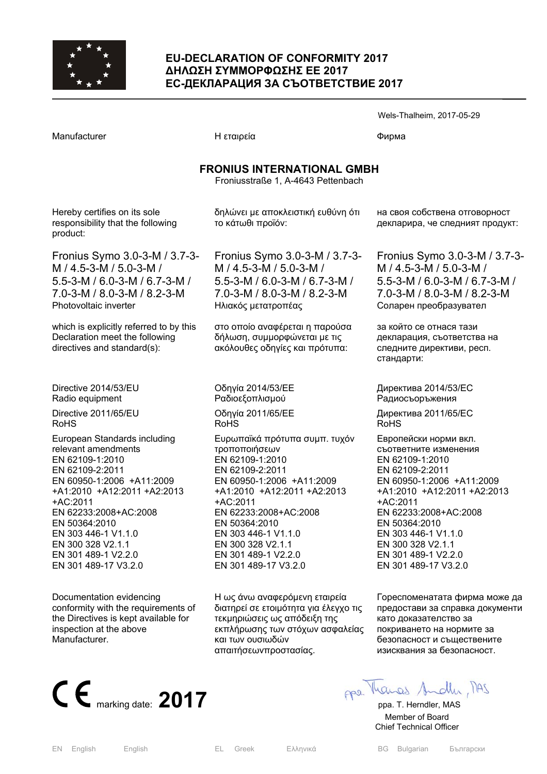

Hereby certifies on its sole

product:

RoHS

+AC:2011

EN 301 489-1 V2.2.0 EN 301 489-17 V3.2.0

Documentation evidencing

inspection at the above

Manufacturer.

conformity with the requirements of the Directives is kept available for

#### **EU-DECLARATION OF CONFORMITY 2017 ∆ΗΛΩΣΗ ΣΥΜΜΟΡΦΩΣΗΣ ΕΕ 2017 ЕС-ДЕКЛАРАЦИЯ ЗА СЪОТВЕТСТВИЕ 2017**

**FRONIUS INTERNATIONAL GMBH**  Froniusstraße 1, A-4643 Pettenbach

δηλώνει με αποκλειστική ευθύνη ότι

Manufacturer Γιατροποιής Η εταιρεία Παραστού του Φυρωα

responsibility that the following Fronius Symo 3.0-3-M / 3.7-3- M / 4.5-3-M / 5.0-3-M / 5.5-3-M / 6.0-3-M / 6.7-3-M / 7.0-3-M / 8.0-3-M / 8.2-3-M Photovoltaic inverter which is explicitly referred to by this Declaration meet the following directives and standard(s): Directive 2014/53/EU Radio equipment Directive 2011/65/EU European Standards including relevant amendments EN 62109-1:2010 EN 62109-2:2011 EN 60950-1:2006 +A11:2009 +A1:2010 +A12:2011 +A2:2013 EN 62233:2008+AC:2008 EN 50364:2010 EN 303 446-1 V1.1.0 EN 300 328 V2.1.1 το κάτωθι προϊόν: Fronius Symo 3.0-3-M / 3.7-3- M / 4.5-3-M / 5.0-3-M / 5.5-3-M / 6.0-3-M / 6.7-3-M / 7.0-3-M / 8.0-3-M / 8.2-3-M Ηλιακός μετατροπέας στο οποίο αναφέρεται η παρούσα δήλωση, συμμορφώνεται με τις ακόλουθες οδηγίες και πρότυπα: Οδηγία 2014/53/EE Pαδιοεξοπλισμού Οδηγία 2011/65/EE RoHS Ευρωπαϊκά πρότυπα συμπ. τυχόν τροποποιήσεων EN 62109-1:2010 EN 62109-2:2011 EN 60950-1:2006 +A11:2009 +A1:2010 +A12:2011 +A2:2013 +AC:2011 EN 62233:2008+AC:2008 EN 50364:2010 EN 303 446-1 V1.1.0 EN 300 328 V2.1.1

> Η ως άνω αναφερόμενη εταιρεία διατηρεί σε ετοιμότητα για έλεγχο τις τεκμηριώσεις ως απόδειξη της εκπλήρωσης των στόχων ασφαλείας και των ουσιωδών απαιτήσεωνπροστασίας.

EN 301 489-1 V2.2.0 EN 301 489-17 V3.2.0 Wels-Thalheim, 2017-05-29

на своя собствена отговорност декларира, че следният продукт:

Fronius Symo 3.0-3-M / 3.7-3- M / 4.5-3-M / 5.0-3-M / 5.5-3-M / 6.0-3-M / 6.7-3-M / 7.0-3-M / 8.0-3-M / 8.2-3-M Соларен преобразувател

за който се отнася тази декларация, съответства на следните директиви, респ. стандарти:

Директива 2014/53/ЕC Pадиосъоръжения

Директива 2011/65/EC RoHS

Европейски норми вкл. съответните изменения EN 62109-1:2010 EN 62109-2:2011 EN 60950-1:2006 +A11:2009 +A1:2010 +A12:2011 +A2:2013 +AC:2011 EN 62233:2008+AC:2008 EN 50364:2010 EN 303 446-1 V1.1.0 EN 300 328 V2.1.1 EN 301 489-1 V2.2.0 EN 301 489-17 V3.2.0

Гореспоменатата фирма може да предостави за справка документи като доказателство за покриването на нормите за безопасност и съществените изисквания за безопасност.



 Member of Board Chief Technical Officer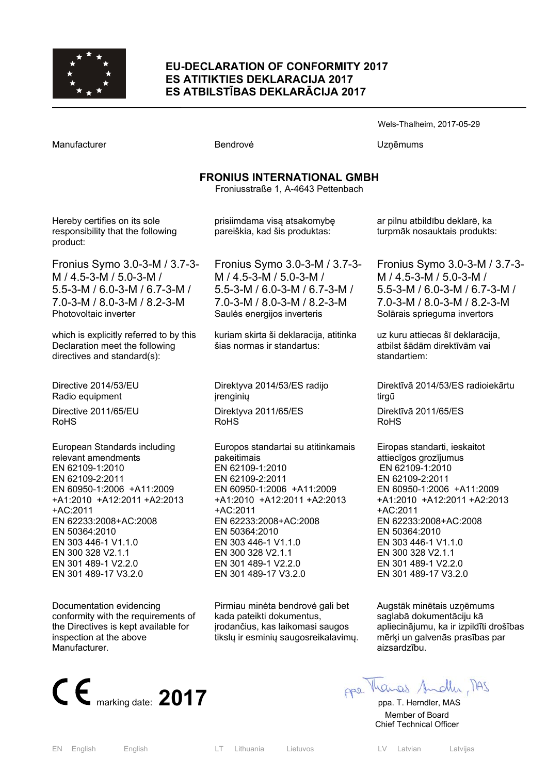

#### **EU-DECLARATION OF CONFORMITY 2017 ES ATITIKTIES DEKLARACIJA 2017 ES ATBILSTĪBAS DEKLARĀCIJA 2017**

| Manufacturer                                                                                                                                                                                                                                                                                                   | <b>Bendrove</b>                                                                                                                                                                                                                                                                                                     | Uzņēmums                                                                                                                                                                                                                                                                                                         |  |  |
|----------------------------------------------------------------------------------------------------------------------------------------------------------------------------------------------------------------------------------------------------------------------------------------------------------------|---------------------------------------------------------------------------------------------------------------------------------------------------------------------------------------------------------------------------------------------------------------------------------------------------------------------|------------------------------------------------------------------------------------------------------------------------------------------------------------------------------------------------------------------------------------------------------------------------------------------------------------------|--|--|
| <b>FRONIUS INTERNATIONAL GMBH</b><br>Froniusstraße 1, A-4643 Pettenbach                                                                                                                                                                                                                                        |                                                                                                                                                                                                                                                                                                                     |                                                                                                                                                                                                                                                                                                                  |  |  |
| Hereby certifies on its sole<br>responsibility that the following<br>product:                                                                                                                                                                                                                                  | prisiimdama visą atsakomybę<br>pareiškia, kad šis produktas:                                                                                                                                                                                                                                                        | ar pilnu atbildību deklarē, ka<br>turpmāk nosauktais produkts:                                                                                                                                                                                                                                                   |  |  |
| Fronius Symo 3.0-3-M / 3.7-3-<br>M / 4.5-3-M / 5.0-3-M /<br>5.5-3-M / 6.0-3-M / 6.7-3-M /<br>7.0-3-M / 8.0-3-M / 8.2-3-M<br>Photovoltaic inverter                                                                                                                                                              | Fronius Symo 3.0-3-M / 3.7-3-<br>M / 4.5-3-M / 5.0-3-M /<br>5.5-3-M / 6.0-3-M / 6.7-3-M /<br>7.0-3-M / 8.0-3-M / 8.2-3-M<br>Saules energijos inverteris                                                                                                                                                             | Fronius Symo 3.0-3-M / 3.7-3-<br>M / 4.5-3-M / 5.0-3-M /<br>5.5-3-M / 6.0-3-M / 6.7-3-M /<br>7.0-3-M / 8.0-3-M / 8.2-3-M<br>Solārais sprieguma invertors                                                                                                                                                         |  |  |
| which is explicitly referred to by this<br>Declaration meet the following<br>directives and standard(s):                                                                                                                                                                                                       | kuriam skirta ši deklaracija, atitinka<br>šias normas ir standartus:                                                                                                                                                                                                                                                | uz kuru attiecas šī deklarācija,<br>atbilst šādām direktīvām vai<br>standartiem:                                                                                                                                                                                                                                 |  |  |
| Directive 2014/53/EU<br>Radio equipment<br>Directive 2011/65/EU                                                                                                                                                                                                                                                | Direktyva 2014/53/ES radijo<br>įrenginių<br>Direktyva 2011/65/ES                                                                                                                                                                                                                                                    | Direktīvā 2014/53/ES radioiekārtu<br>tirgū<br>Direktīvā 2011/65/ES                                                                                                                                                                                                                                               |  |  |
| RoHS<br>European Standards including<br>relevant amendments<br>EN 62109-1:2010<br>EN 62109-2:2011<br>EN 60950-1:2006 +A11:2009<br>+A1:2010 +A12:2011 +A2:2013<br>+AC:2011<br>EN 62233:2008+AC:2008<br>EN 50364:2010<br>EN 303 446-1 V1.1.0<br>EN 300 328 V2.1.1<br>EN 301 489-1 V2.2.0<br>EN 301 489-17 V3.2.0 | <b>RoHS</b><br>Europos standartai su atitinkamais<br>pakeitimais<br>EN 62109-1:2010<br>EN 62109-2:2011<br>EN 60950-1:2006 +A11:2009<br>+A1:2010 +A12:2011 +A2:2013<br>+AC:2011<br>EN 62233:2008+AC:2008<br>EN 50364:2010<br>EN 303 446-1 V1.1.0<br>EN 300 328 V2.1.1<br>EN 301 489-1 V2.2.0<br>EN 301 489-17 V3.2.0 | RoHS<br>Eiropas standarti, ieskaitot<br>attiecīgos grozījumus<br>EN 62109-1:2010<br>EN 62109-2:2011<br>EN 60950-1:2006 +A11:2009<br>+A1:2010 +A12:2011 +A2:2013<br>+AC:2011<br>EN 62233:2008+AC:2008<br>EN 50364:2010<br>EN 303 446-1 V1.1.0<br>EN 300 328 V2.1.1<br>EN 301 489-1 V2.2.0<br>EN 301 489-17 V3.2.0 |  |  |
| Documentation evidencing                                                                                                                                                                                                                                                                                       | Pirmiau minėta bendrovė gali bet                                                                                                                                                                                                                                                                                    | Augstāk minētais uzņēmums                                                                                                                                                                                                                                                                                        |  |  |

Augstāk minētais uzņēmums saglabā dokumentāciju kā apliecinājumu, ka ir izpildīti drošības mērķi un galvenās prasības par aizsardzību.

Wels-Thalheim, 2017-05-29



conformity with the requirements of the Directives is kept available for

 Member of Board Chief Technical Officer

inspection at the above

Manufacturer.

kada pateikti dokumentus, įrodančius, kas laikomasi saugos tikslų ir esminių saugosreikalavimų.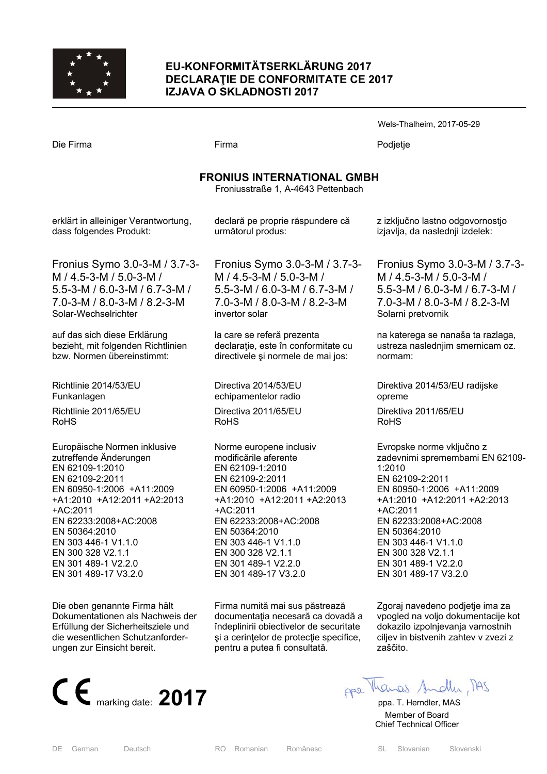

# **EU-KONFORMITÄTSERKLÄRUNG 2017 DECLARAŢIE DE CONFORMITATE CE 2017 IZJAVA O SKLADNOSTI 2017**

|                                                                         |                                         | Wels-Thalheim, 2017-05-29          |  |  |
|-------------------------------------------------------------------------|-----------------------------------------|------------------------------------|--|--|
| Die Firma                                                               | Firma                                   | Podjetje                           |  |  |
| <b>FRONIUS INTERNATIONAL GMBH</b><br>Froniusstraße 1, A-4643 Pettenbach |                                         |                                    |  |  |
| erklärt in alleiniger Verantwortung,                                    | declară pe proprie răspundere că        | z izključno lastno odgovornostjo   |  |  |
| dass folgendes Produkt:                                                 | următorul produs:                       | izjavlja, da naslednji izdelek:    |  |  |
| Fronius Symo 3.0-3-M / 3.7-3-                                           | Fronius Symo 3.0-3-M / 3.7-3-           | Fronius Symo 3.0-3-M / 3.7-3-      |  |  |
| M / 4.5-3-M / 5.0-3-M /                                                 | M / 4.5-3-M / 5.0-3-M /                 | M / 4.5-3-M / 5.0-3-M /            |  |  |
| 5.5-3-M / 6.0-3-M / 6.7-3-M /                                           | 5.5-3-M / 6.0-3-M / 6.7-3-M /           | 5.5-3-M / 6.0-3-M / 6.7-3-M /      |  |  |
| 7.0-3-M / 8.0-3-M / 8.2-3-M                                             | 7.0-3-M / 8.0-3-M / 8.2-3-M             | 7.0-3-M / 8.0-3-M / 8.2-3-M        |  |  |
| Solar-Wechselrichter                                                    | invertor solar                          | Solarni pretvornik                 |  |  |
| auf das sich diese Erklärung                                            | la care se referă prezenta              | na katerega se nanaša ta razlaga,  |  |  |
| bezieht, mit folgenden Richtlinien                                      | declarație, este în conformitate cu     | ustreza naslednjim smernicam oz.   |  |  |
| bzw. Normen übereinstimmt:                                              | directivele și normele de mai jos:      | normam:                            |  |  |
| Richtlinie 2014/53/EU                                                   | Directiva 2014/53/EU                    | Direktiva 2014/53/EU radijske      |  |  |
| Funkanlagen                                                             | echipamentelor radio                    | opreme                             |  |  |
| Richtlinie 2011/65/EU                                                   | Directiva 2011/65/EU                    | Direktiva 2011/65/EU               |  |  |
| <b>RoHS</b>                                                             | <b>RoHS</b>                             | <b>RoHS</b>                        |  |  |
| Europäische Normen inklusive                                            | Norme europene inclusiv                 | Evropske norme vključno z          |  |  |
| zutreffende Änderungen                                                  | modificările aferente                   | zadevnimi spremembami EN 62109-    |  |  |
| EN 62109-1:2010                                                         | EN 62109-1:2010                         | 1:2010                             |  |  |
| EN 62109-2:2011                                                         | EN 62109-2:2011                         | EN 62109-2:2011                    |  |  |
| EN 60950-1:2006 +A11:2009                                               | EN 60950-1:2006 +A11:2009               | EN 60950-1:2006 +A11:2009          |  |  |
| +A1:2010 +A12:2011 +A2:2013                                             | +A1:2010 +A12:2011 +A2:2013             | +A1:2010 +A12:2011 +A2:2013        |  |  |
| +AC:2011                                                                | +AC:2011                                | +AC:2011                           |  |  |
| EN 62233:2008+AC:2008                                                   | EN 62233:2008+AC:2008                   | EN 62233:2008+AC:2008              |  |  |
| EN 50364:2010                                                           | EN 50364:2010                           | EN 50364:2010                      |  |  |
| EN 303 446-1 V1.1.0                                                     | EN 303 446-1 V1.1.0                     | EN 303 446-1 V1.1.0                |  |  |
| EN 300 328 V2.1.1                                                       | EN 300 328 V2.1.1                       | EN 300 328 V2.1.1                  |  |  |
| EN 301 489-1 V2.2.0                                                     | EN 301 489-1 V2.2.0                     | EN 301 489-1 V2.2.0                |  |  |
| EN 301 489-17 V3.2.0                                                    | EN 301 489-17 V3.2.0                    | EN 301 489-17 V3.2.0               |  |  |
| Die oben genannte Firma hält                                            | Firma numită mai sus păstrează          | Zgoraj navedeno podjetje ima za    |  |  |
| Dokumentationen als Nachweis der                                        | documentația necesară ca dovadă a       | vpogled na voljo dokumentacije kot |  |  |
| Erfüllung der Sicherheitsziele und                                      | îndeplinirii obiectivelor de securitate | dokazilo izpolnjevanja varnostnih  |  |  |

**CE** marking date: **2017 pp** Marcel Andly MS

die wesentlichen Schutzanforder-

ungen zur Einsicht bereit.

zaščito.

ciljev in bistvenih zahtev v zvezi z

 Member of Board Chief Technical Officer

şi a cerinţelor de protecţie specifice,

pentru a putea fi consultată.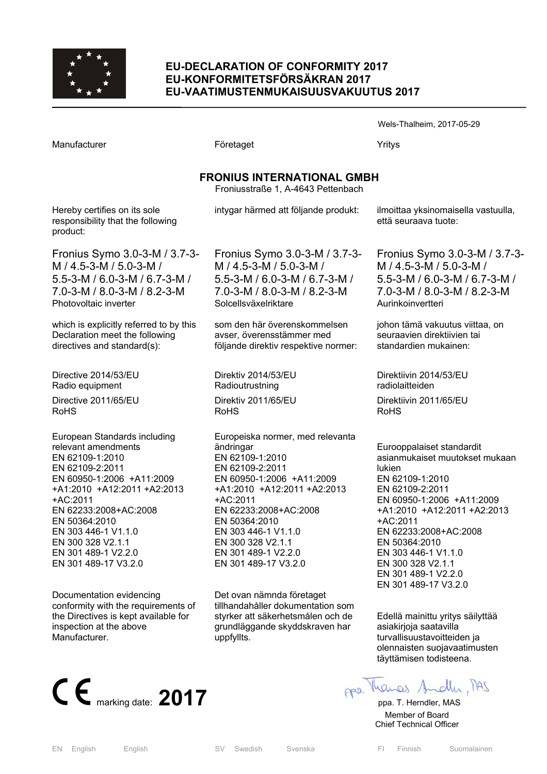

# **EU-DECLARATION OF CONFORMITY 2017 EU-KONFORMITETSFÖRSÄKRAN 2017 EU-VAATIMUSTENMUKAISUUSVAKUUTUS 2017**

|                                                                                                                                                                                                                                                                                                        |                                                                                                                                                                                                                                                                                                  | Wels-Thalheim, 2017-05-29                                                                                                                                                                                                                                                                                                       |  |  |
|--------------------------------------------------------------------------------------------------------------------------------------------------------------------------------------------------------------------------------------------------------------------------------------------------------|--------------------------------------------------------------------------------------------------------------------------------------------------------------------------------------------------------------------------------------------------------------------------------------------------|---------------------------------------------------------------------------------------------------------------------------------------------------------------------------------------------------------------------------------------------------------------------------------------------------------------------------------|--|--|
| Manufacturer                                                                                                                                                                                                                                                                                           | Företaget                                                                                                                                                                                                                                                                                        | Yritys                                                                                                                                                                                                                                                                                                                          |  |  |
| <b>FRONIUS INTERNATIONAL GMBH</b><br>Froniusstraße 1, A-4643 Pettenbach                                                                                                                                                                                                                                |                                                                                                                                                                                                                                                                                                  |                                                                                                                                                                                                                                                                                                                                 |  |  |
| Hereby certifies on its sole<br>responsibility that the following<br>product:                                                                                                                                                                                                                          | intygar härmed att följande produkt:                                                                                                                                                                                                                                                             | ilmoittaa yksinomaisella vastuulla,<br>että seuraava tuote:                                                                                                                                                                                                                                                                     |  |  |
| Fronius Symo 3.0-3-M / 3.7-3-<br>M / 4.5-3-M / 5.0-3-M /<br>5.5-3-M / 6.0-3-M / 6.7-3-M /<br>7.0-3-M / 8.0-3-M / 8.2-3-M<br>Photovoltaic inverter                                                                                                                                                      | Fronius Symo 3.0-3-M / 3.7-3-<br>M / 4.5-3-M / 5.0-3-M /<br>5.5-3-M / 6.0-3-M / 6.7-3-M /<br>7.0-3-M / 8.0-3-M / 8.2-3-M<br>Solcellsväxelriktare                                                                                                                                                 | Fronius Symo 3.0-3-M / 3.7-3-<br>M / 4.5-3-M / 5.0-3-M /<br>5.5-3-M / 6.0-3-M / 6.7-3-M /<br>7.0-3-M / 8.0-3-M / 8.2-3-M<br>Aurinkoinvertteri                                                                                                                                                                                   |  |  |
| which is explicitly referred to by this<br>Declaration meet the following<br>directives and standard(s):                                                                                                                                                                                               | som den här överenskommelsen<br>avser, överensstämmer med<br>följande direktiv respektive normer:                                                                                                                                                                                                | johon tämä vakuutus viittaa, on<br>seuraavien direktiivien tai<br>standardien mukainen:                                                                                                                                                                                                                                         |  |  |
| Directive 2014/53/EU<br>Radio equipment                                                                                                                                                                                                                                                                | Direktiv 2014/53/EU<br>Radioutrustning                                                                                                                                                                                                                                                           | Direktiivin 2014/53/EU<br>radiolaitteiden                                                                                                                                                                                                                                                                                       |  |  |
| Directive 2011/65/EU<br><b>RoHS</b>                                                                                                                                                                                                                                                                    | Direktiv 2011/65/EU<br><b>RoHS</b>                                                                                                                                                                                                                                                               | Direktiivin 2011/65/EU<br><b>RoHS</b>                                                                                                                                                                                                                                                                                           |  |  |
| European Standards including<br>relevant amendments<br>EN 62109-1:2010<br>EN 62109-2:2011<br>EN 60950-1:2006 +A11:2009<br>+A1:2010 +A12:2011 +A2:2013<br>+AC:2011<br>EN 62233:2008+AC:2008<br>EN 50364:2010<br>EN 303 446-1 V1.1.0<br>EN 300 328 V2.1.1<br>EN 301 489-1 V2.2.0<br>EN 301 489-17 V3.2.0 | Europeiska normer, med relevanta<br>ändringar<br>EN 62109-1:2010<br>EN 62109-2:2011<br>EN 60950-1:2006 +A11:2009<br>+A1:2010 +A12:2011 +A2:2013<br>+AC:2011<br>EN 62233:2008+AC:2008<br>EN 50364:2010<br>EN 303 446-1 V1.1.0<br>EN 300 328 V2.1.1<br>EN 301 489-1 V2.2.0<br>EN 301 489-17 V3.2.0 | Eurooppalaiset standardit<br>asianmukaiset muutokset mukaan<br><b>lukien</b><br>EN 62109-1:2010<br>EN 62109-2:2011<br>EN 60950-1:2006 +A11:2009<br>+A1:2010 +A12:2011 +A2:2013<br>+AC:2011<br>EN 62233:2008+AC:2008<br>EN 50364:2010<br>EN 303 446-1 V1.1.0<br>EN 300 328 V2.1.1<br>EN 301 489-1 V2.2.0<br>EN 301 489-17 V3.2.0 |  |  |
| Documentation evidencing<br>conformity with the requirements of<br>the Directives is kept available for<br>inspection at the above<br>Manufacturer.                                                                                                                                                    | Det ovan nämnda företaget<br>tillhandahåller dokumentation som<br>styrker att säkerhetsmålen och de<br>grundläggande skyddskraven har<br>uppfyllts.                                                                                                                                              | Edellä mainittu yritys säilyttää<br>asiakirjoja saatavilla<br>turvallisuustavoitteiden ja<br>olennaisten suojavaatimusten                                                                                                                                                                                                       |  |  |



EN English English SV Swedish Svenska FI Finnish Suomalainen

täyttämisen todisteena.